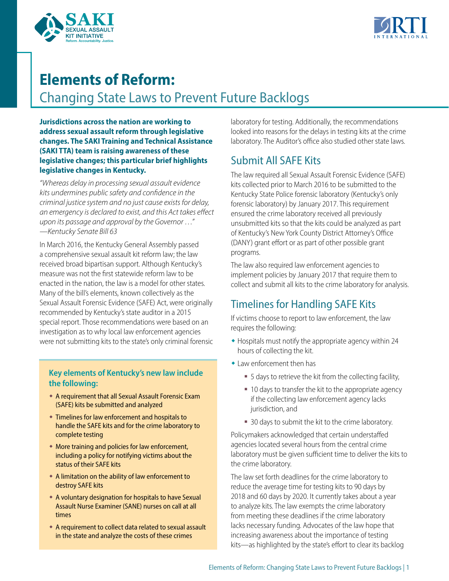



# **Elements of Reform:**

Changing State Laws to Prevent Future Backlogs

**Jurisdictions across the nation are working to address sexual assault reform through legislative changes. The SAKI Training and Technical Assistance (SAKI TTA) team is raising awareness of these legislative changes; this particular brief highlights legislative changes in Kentucky.**

*"Whereas delay in processing sexual assault evidence kits undermines public safety and confidence in the criminal justice system and no just cause exists for delay, an emergency is declared to exist, and this Act takes effect upon its passage and approval by the Governor …" —Kentucky Senate Bill 63*

In March 2016, the Kentucky General Assembly passed a comprehensive sexual assault kit reform law; the law received broad bipartisan support. Although Kentucky's measure was not the first statewide reform law to be enacted in the nation, the law is a model for other states. Many of the bill's elements, known collectively as the Sexual Assault Forensic Evidence (SAFE) Act, were originally recommended by Kentucky's state auditor in a 2015 special report. Those recommendations were based on an investigation as to why local law enforcement agencies were not submitting kits to the state's only criminal forensic

#### **Key elements of Kentucky's new law include the following:**

- w A requirement that all Sexual Assault Forensic Exam (SAFE) kits be submitted and analyzed
- **Timelines for law enforcement and hospitals to** handle the SAFE kits and for the crime laboratory to complete testing
- $\bullet$  More training and policies for law enforcement, including a policy for notifying victims about the status of their SAFE kits
- A limitation on the ability of law enforcement to destroy SAFE kits
- \* A voluntary designation for hospitals to have Sexual Assault Nurse Examiner (SANE) nurses on call at all times
- w A requirement to collect data related to sexual assault in the state and analyze the costs of these crimes

laboratory for testing. Additionally, the recommendations looked into reasons for the delays in testing kits at the crime laboratory. The Auditor's office also studied other state laws.

# Submit All SAFE Kits

The law required all Sexual Assault Forensic Evidence (SAFE) kits collected prior to March 2016 to be submitted to the Kentucky State Police forensic laboratory (Kentucky's only forensic laboratory) by January 2017. This requirement ensured the crime laboratory received all previously unsubmitted kits so that the kits could be analyzed as part of Kentucky's New York County District Attorney's Office (DANY) grant effort or as part of other possible grant programs.

The law also required law enforcement agencies to implement policies by January 2017 that require them to collect and submit all kits to the crime laboratory for analysis.

# Timelines for Handling SAFE Kits

If victims choose to report to law enforcement, the law requires the following:

- $\bullet$  Hospitals must notify the appropriate agency within 24 hours of collecting the kit.
- $\bullet$  Law enforcement then has
	- 5 days to retrieve the kit from the collecting facility,
	- 10 days to transfer the kit to the appropriate agency if the collecting law enforcement agency lacks jurisdiction, and
	- 30 days to submit the kit to the crime laboratory.

Policymakers acknowledged that certain understaffed agencies located several hours from the central crime laboratory must be given sufficient time to deliver the kits to the crime laboratory.

The law set forth deadlines for the crime laboratory to reduce the average time for testing kits to 90 days by 2018 and 60 days by 2020. It currently takes about a year to analyze kits. The law exempts the crime laboratory from meeting these deadlines if the crime laboratory lacks necessary funding. Advocates of the law hope that increasing awareness about the importance of testing kits—as highlighted by the state's effort to clear its backlog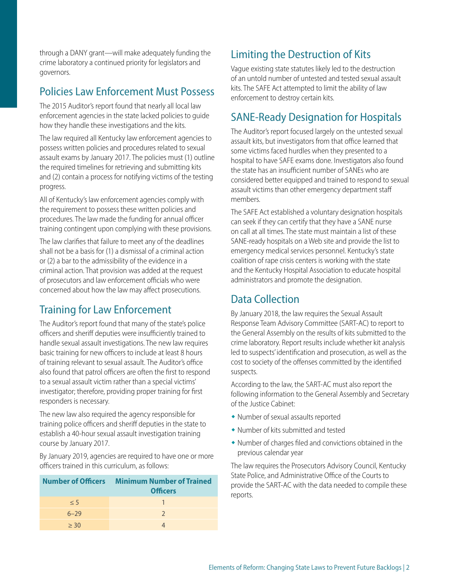through a DANY grant—will make adequately funding the crime laboratory a continued priority for legislators and governors.

#### Policies Law Enforcement Must Possess

The 2015 Auditor's report found that nearly all local law enforcement agencies in the state lacked policies to guide how they handle these investigations and the kits.

The law required all Kentucky law enforcement agencies to possess written policies and procedures related to sexual assault exams by January 2017. The policies must (1) outline the required timelines for retrieving and submitting kits and (2) contain a process for notifying victims of the testing progress.

All of Kentucky's law enforcement agencies comply with the requirement to possess these written policies and procedures. The law made the funding for annual officer training contingent upon complying with these provisions.

The law clarifies that failure to meet any of the deadlines shall not be a basis for (1) a dismissal of a criminal action or (2) a bar to the admissibility of the evidence in a criminal action. That provision was added at the request of prosecutors and law enforcement officials who were concerned about how the law may affect prosecutions.

## Training for Law Enforcement

The Auditor's report found that many of the state's police officers and sheriff deputies were insufficiently trained to handle sexual assault investigations. The new law requires basic training for new officers to include at least 8 hours of training relevant to sexual assault. The Auditor's office also found that patrol officers are often the first to respond to a sexual assault victim rather than a special victims' investigator; therefore, providing proper training for first responders is necessary.

The new law also required the agency responsible for training police officers and sheriff deputies in the state to establish a 40-hour sexual assault investigation training course by January 2017.

By January 2019, agencies are required to have one or more officers trained in this curriculum, as follows:

|          | <b>Number of Officers Minimum Number of Trained</b><br><b>Officers</b> |
|----------|------------------------------------------------------------------------|
| $\leq 5$ |                                                                        |
| $6 - 29$ | $\mathcal{L}$                                                          |
| > 30     |                                                                        |

# Limiting the Destruction of Kits

Vague existing state statutes likely led to the destruction of an untold number of untested and tested sexual assault kits. The SAFE Act attempted to limit the ability of law enforcement to destroy certain kits.

# SANE-Ready Designation for Hospitals

The Auditor's report focused largely on the untested sexual assault kits, but investigators from that office learned that some victims faced hurdles when they presented to a hospital to have SAFE exams done. Investigators also found the state has an insufficient number of SANEs who are considered better equipped and trained to respond to sexual assault victims than other emergency department staff members.

The SAFE Act established a voluntary designation hospitals can seek if they can certify that they have a SANE nurse on call at all times. The state must maintain a list of these SANE-ready hospitals on a Web site and provide the list to emergency medical services personnel. Kentucky's state coalition of rape crisis centers is working with the state and the Kentucky Hospital Association to educate hospital administrators and promote the designation.

## Data Collection

By January 2018, the law requires the Sexual Assault Response Team Advisory Committee (SART-AC) to report to the General Assembly on the results of kits submitted to the crime laboratory. Report results include whether kit analysis led to suspects' identification and prosecution, as well as the cost to society of the offenses committed by the identified suspects.

According to the law, the SART-AC must also report the following information to the General Assembly and Secretary of the Justice Cabinet:

- Number of sexual assaults reported
- $\bullet$  Number of kits submitted and tested
- $\bullet$  Number of charges filed and convictions obtained in the previous calendar year

The law requires the Prosecutors Advisory Council, Kentucky State Police, and Administrative Office of the Courts to provide the SART-AC with the data needed to compile these reports.